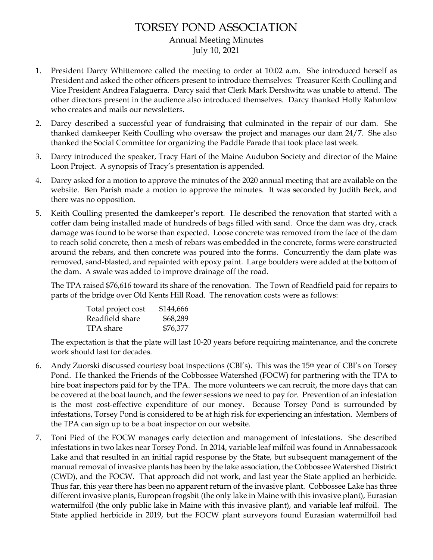## TORSEY POND ASSOCIATION Annual Meeting Minutes July 10, 2021

- 1. President Darcy Whittemore called the meeting to order at 10:02 a.m. She introduced herself as President and asked the other officers present to introduce themselves: Treasurer Keith Coulling and Vice President Andrea Falaguerra. Darcy said that Clerk Mark Dershwitz was unable to attend. The other directors present in the audience also introduced themselves. Darcy thanked Holly Rahmlow who creates and mails our newsletters.
- 2. Darcy described a successful year of fundraising that culminated in the repair of our dam. She thanked damkeeper Keith Coulling who oversaw the project and manages our dam 24/7. She also thanked the Social Committee for organizing the Paddle Parade that took place last week.
- 3. Darcy introduced the speaker, Tracy Hart of the Maine Audubon Society and director of the Maine Loon Project. A synopsis of Tracy's presentation is appended.
- 4. Darcy asked for a motion to approve the minutes of the 2020 annual meeting that are available on the website. Ben Parish made a motion to approve the minutes. It was seconded by Judith Beck, and there was no opposition.
- 5. Keith Coulling presented the damkeeper's report. He described the renovation that started with a coffer dam being installed made of hundreds of bags filled with sand. Once the dam was dry, crack damage was found to be worse than expected. Loose concrete was removed from the face of the dam to reach solid concrete, then a mesh of rebars was embedded in the concrete, forms were constructed around the rebars, and then concrete was poured into the forms. Concurrently the dam plate was removed, sand-blasted, and repainted with epoxy paint. Large boulders were added at the bottom of the dam. A swale was added to improve drainage off the road.

The TPA raised \$76,616 toward its share of the renovation. The Town of Readfield paid for repairs to parts of the bridge over Old Kents Hill Road. The renovation costs were as follows:

| Total project cost | \$144,666 |
|--------------------|-----------|
| Readfield share    | \$68,289  |
| TPA share          | \$76,377  |

The expectation is that the plate will last 10-20 years before requiring maintenance, and the concrete work should last for decades.

- 6. Andy Zuorski discussed courtesy boat inspections (CBI's). This was the 15th year of CBI's on Torsey Pond. He thanked the Friends of the Cobbossee Watershed (FOCW) for partnering with the TPA to hire boat inspectors paid for by the TPA. The more volunteers we can recruit, the more days that can be covered at the boat launch, and the fewer sessions we need to pay for. Prevention of an infestation is the most cost-effective expenditure of our money. Because Torsey Pond is surrounded by infestations, Torsey Pond is considered to be at high risk for experiencing an infestation. Members of the TPA can sign up to be a boat inspector on our website.
- 7. Toni Pied of the FOCW manages early detection and management of infestations. She described infestations in two lakes near Torsey Pond. In 2014, variable leaf milfoil was found in Annabessacook Lake and that resulted in an initial rapid response by the State, but subsequent management of the manual removal of invasive plants has been by the lake association, the Cobbossee Watershed District (CWD), and the FOCW. That approach did not work, and last year the State applied an herbicide. Thus far, this year there has been no apparent return of the invasive plant. Cobbossee Lake has three different invasive plants, European frogsbit (the only lake in Maine with this invasive plant), Eurasian watermilfoil (the only public lake in Maine with this invasive plant), and variable leaf milfoil. The State applied herbicide in 2019, but the FOCW plant surveyors found Eurasian watermilfoil had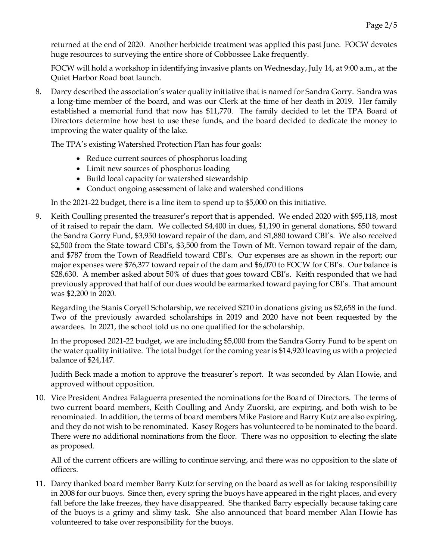returned at the end of 2020. Another herbicide treatment was applied this past June. FOCW devotes huge resources to surveying the entire shore of Cobbossee Lake frequently.

FOCW will hold a workshop in identifying invasive plants on Wednesday, July 14, at 9:00 a.m., at the Quiet Harbor Road boat launch.

8. Darcy described the association's water quality initiative that is named for Sandra Gorry. Sandra was a long-time member of the board, and was our Clerk at the time of her death in 2019. Her family established a memorial fund that now has \$11,770. The family decided to let the TPA Board of Directors determine how best to use these funds, and the board decided to dedicate the money to improving the water quality of the lake.

The TPA's existing Watershed Protection Plan has four goals:

- Reduce current sources of phosphorus loading
- Limit new sources of phosphorus loading
- Build local capacity for watershed stewardship
- Conduct ongoing assessment of lake and watershed conditions

In the 2021-22 budget, there is a line item to spend up to \$5,000 on this initiative.

9. Keith Coulling presented the treasurer's report that is appended. We ended 2020 with \$95,118, most of it raised to repair the dam. We collected \$4,400 in dues, \$1,190 in general donations, \$50 toward the Sandra Gorry Fund, \$3,950 toward repair of the dam, and \$1,880 toward CBI's. We also received \$2,500 from the State toward CBI's, \$3,500 from the Town of Mt. Vernon toward repair of the dam, and \$787 from the Town of Readfield toward CBI's. Our expenses are as shown in the report; our major expenses were \$76,377 toward repair of the dam and \$6,070 to FOCW for CBI's. Our balance is \$28,630. A member asked about 50% of dues that goes toward CBI's. Keith responded that we had previously approved that half of our dues would be earmarked toward paying for CBI's. That amount was \$2,200 in 2020.

Regarding the Stanis Coryell Scholarship, we received \$210 in donations giving us \$2,658 in the fund. Two of the previously awarded scholarships in 2019 and 2020 have not been requested by the awardees. In 2021, the school told us no one qualified for the scholarship.

In the proposed 2021-22 budget, we are including \$5,000 from the Sandra Gorry Fund to be spent on the water quality initiative. The total budget for the coming year is \$14,920 leaving us with a projected balance of \$24,147.

Judith Beck made a motion to approve the treasurer's report. It was seconded by Alan Howie, and approved without opposition.

10. Vice President Andrea Falaguerra presented the nominations for the Board of Directors. The terms of two current board members, Keith Coulling and Andy Zuorski, are expiring, and both wish to be renominated. In addition, the terms of board members Mike Pastore and Barry Kutz are also expiring, and they do not wish to be renominated. Kasey Rogers has volunteered to be nominated to the board. There were no additional nominations from the floor. There was no opposition to electing the slate as proposed.

All of the current officers are willing to continue serving, and there was no opposition to the slate of officers.

11. Darcy thanked board member Barry Kutz for serving on the board as well as for taking responsibility in 2008 for our buoys. Since then, every spring the buoys have appeared in the right places, and every fall before the lake freezes, they have disappeared. She thanked Barry especially because taking care of the buoys is a grimy and slimy task. She also announced that board member Alan Howie has volunteered to take over responsibility for the buoys.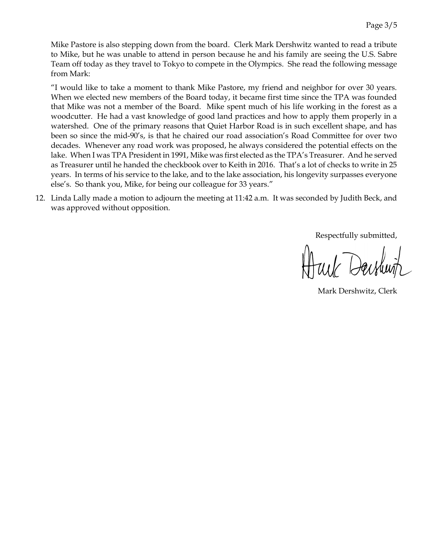Mike Pastore is also stepping down from the board. Clerk Mark Dershwitz wanted to read a tribute to Mike, but he was unable to attend in person because he and his family are seeing the U.S. Sabre Team off today as they travel to Tokyo to compete in the Olympics. She read the following message from Mark:

"I would like to take a moment to thank Mike Pastore, my friend and neighbor for over 30 years. When we elected new members of the Board today, it became first time since the TPA was founded that Mike was not a member of the Board. Mike spent much of his life working in the forest as a woodcutter. He had a vast knowledge of good land practices and how to apply them properly in a watershed. One of the primary reasons that Quiet Harbor Road is in such excellent shape, and has been so since the mid-90's, is that he chaired our road association's Road Committee for over two decades. Whenever any road work was proposed, he always considered the potential effects on the lake. When I was TPA President in 1991, Mike was first elected as the TPA's Treasurer. And he served as Treasurer until he handed the checkbook over to Keith in 2016. That's a lot of checks to write in 25 years. In terms of his service to the lake, and to the lake association, his longevity surpasses everyone else's. So thank you, Mike, for being our colleague for 33 years."

12. Linda Lally made a motion to adjourn the meeting at 11:42 a.m. It was seconded by Judith Beck, and was approved without opposition.

Respectfully submitted,

Mark Dershwitz, Clerk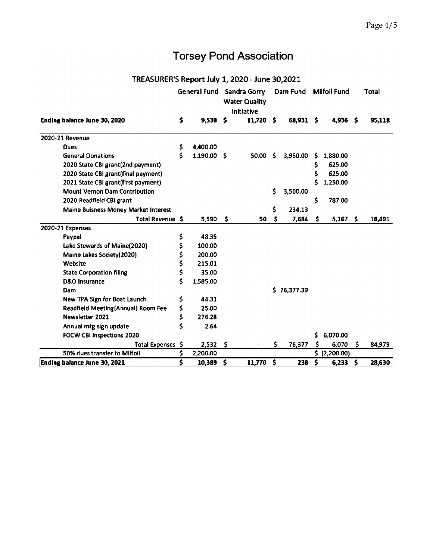## **Torsey Pond Association**

## TREASURER'S Report July 1, 2020 - June 30,2021

|                                      |                             | <b>General Fund</b> |     | Sandra Gorry<br><b>Water Quality</b><br>Initiative |                         | Dam Fund    |                         | <b>Milfoil Fund</b> |      | Total  |
|--------------------------------------|-----------------------------|---------------------|-----|----------------------------------------------------|-------------------------|-------------|-------------------------|---------------------|------|--------|
| Ending balance June 30, 2020         | \$                          | 9,530               | -5  | $11,720$ \$                                        |                         | 68,931 \$   |                         | $4,936$ \$          |      | 95,118 |
| 2020-21 Revenue                      |                             |                     |     |                                                    |                         |             |                         |                     |      |        |
| <b>Dues</b>                          | \$                          | 4,400.00            |     |                                                    |                         |             |                         |                     |      |        |
| <b>General Donations</b>             | Ś                           | 1,190.00 \$         |     | 50.00                                              | Ŝ.                      | 3,950.00    | S.                      | 1,880.00            |      |        |
| 2020 State CBI grant(2nd payment)    |                             |                     |     |                                                    |                         |             | \$                      | 625.00              |      |        |
| 2020 State CBI grant(final payment)  |                             |                     |     |                                                    |                         |             | \$                      | 625.00              |      |        |
| 2021 State CBI grant(first payment)  |                             |                     |     |                                                    |                         |             | Ś                       | 1,250.00            |      |        |
| <b>Mount Vernon Dam Contribution</b> |                             |                     |     |                                                    | \$                      | 3,500.00    |                         |                     |      |        |
| 2020 Readfield CBI grant             |                             |                     |     |                                                    |                         |             | \$                      | 787.00              |      |        |
| Maine Buisness Money Market Interest |                             |                     |     |                                                    | \$.                     | 234.13      |                         |                     |      |        |
| Total Revenue \$                     |                             | 5,590               | \$  | 50                                                 | \$                      | 7,684       | \$.                     | $5,167$ \$          |      | 18,491 |
| 2020-21 Expenses                     |                             |                     |     |                                                    |                         |             |                         |                     |      |        |
| Paypal                               | \$                          | 48.35               |     |                                                    |                         |             |                         |                     |      |        |
| Lake Stewards of Maine(2020)         | \$                          | 100.00              |     |                                                    |                         |             |                         |                     |      |        |
| Maine Lakes Society (2020)           | \$                          | 200.00              |     |                                                    |                         |             |                         |                     |      |        |
| Website                              | \$                          | 215.01              |     |                                                    |                         |             |                         |                     |      |        |
| <b>State Corporation filing</b>      | \$                          | 35.00               |     |                                                    |                         |             |                         |                     |      |        |
| D&O Insurance                        | Ś                           | 1,585.00            |     |                                                    |                         |             |                         |                     |      |        |
| <b>Dam</b>                           |                             |                     |     |                                                    |                         | \$76,377.39 |                         |                     |      |        |
| New TPA Sign for Boat Launch         | \$                          | 44.31               |     |                                                    |                         |             |                         |                     |      |        |
| Readfield Meeting(Annual) Room Fee   | \$                          | 25.00               |     |                                                    |                         |             |                         |                     |      |        |
| Newsletter 2021                      | \$                          | 276.28              |     |                                                    |                         |             |                         |                     |      |        |
| Annual mtg sign update               | Ś                           | 2.64                |     |                                                    |                         |             |                         |                     |      |        |
| <b>FOCW CBI Inspections 2020</b>     |                             |                     |     |                                                    |                         |             | Ś.                      | 6,070.00            |      |        |
| Total Expenses \$                    |                             | 2,532               | -\$ |                                                    | S                       | 76,377      | s                       | 6,070               | S.   | 84,979 |
| 50% dues transfer to Milfoil         | \$                          | 2,200.00            |     |                                                    |                         |             | \$.                     | (2,200.00)          |      |        |
| Ending balance June 30, 2021         | $\overline{\boldsymbol{s}}$ | 10,389              | \$  | 11,770                                             | $\overline{\mathbf{s}}$ | 238         | $\overline{\mathbf{s}}$ | 6,233               | - \$ | 28,630 |